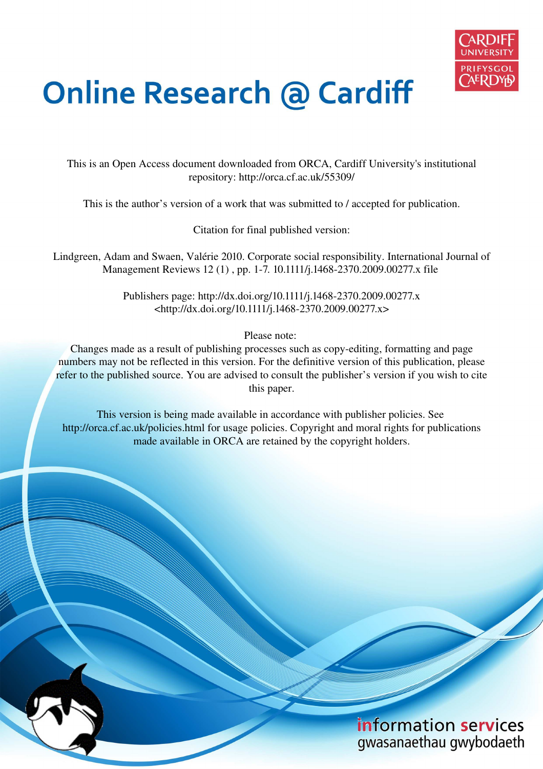

# **Online Research @ Cardiff**

This is an Open Access document downloaded from ORCA, Cardiff University's institutional repository: http://orca.cf.ac.uk/55309/

This is the author's version of a work that was submitted to / accepted for publication.

Citation for final published version:

Lindgreen, Adam and Swaen, Valérie 2010. Corporate social responsibility. International Journal of Management Reviews 12 (1) , pp. 1-7. 10.1111/j.1468-2370.2009.00277.x file

> Publishers page: http://dx.doi.org/10.1111/j.1468-2370.2009.00277.x <http://dx.doi.org/10.1111/j.1468-2370.2009.00277.x>

> > Please note:

Changes made as a result of publishing processes such as copy-editing, formatting and page numbers may not be reflected in this version. For the definitive version of this publication, please refer to the published source. You are advised to consult the publisher's version if you wish to cite this paper.

This version is being made available in accordance with publisher policies. See http://orca.cf.ac.uk/policies.html for usage policies. Copyright and moral rights for publications made available in ORCA are retained by the copyright holders.

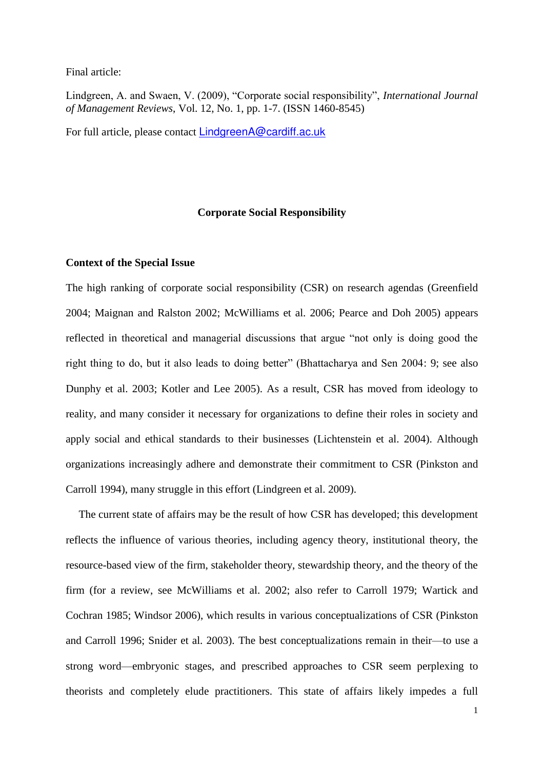#### Final article:

Lindgreen, A. and Swaen, V. (2009), "Corporate social responsibility", *International Journal of Management Reviews*, Vol. 12, No. 1, pp. 1-7. (ISSN 1460-8545)

For full article, please contact [LindgreenA@cardiff.ac.uk](mailto:LindgreenA@cardiff.ac.uk)

## **Corporate Social Responsibility**

## **Context of the Special Issue**

The high ranking of corporate social responsibility (CSR) on research agendas (Greenfield 2004; Maignan and Ralston 2002; McWilliams et al. 2006; Pearce and Doh 2005) appears reflected in theoretical and managerial discussions that argue "not only is doing good the right thing to do, but it also leads to doing better" (Bhattacharya and Sen 2004: 9; see also Dunphy et al. 2003; Kotler and Lee 2005). As a result, CSR has moved from ideology to reality, and many consider it necessary for organizations to define their roles in society and apply social and ethical standards to their businesses (Lichtenstein et al. 2004). Although organizations increasingly adhere and demonstrate their commitment to CSR (Pinkston and Carroll 1994), many struggle in this effort (Lindgreen et al. 2009).

The current state of affairs may be the result of how CSR has developed; this development reflects the influence of various theories, including agency theory, institutional theory, the resource-based view of the firm, stakeholder theory, stewardship theory, and the theory of the firm (for a review, see McWilliams et al. 2002; also refer to Carroll 1979; Wartick and Cochran 1985; Windsor 2006), which results in various conceptualizations of CSR (Pinkston and Carroll 1996; Snider et al. 2003). The best conceptualizations remain in their—to use a strong word—embryonic stages, and prescribed approaches to CSR seem perplexing to theorists and completely elude practitioners. This state of affairs likely impedes a full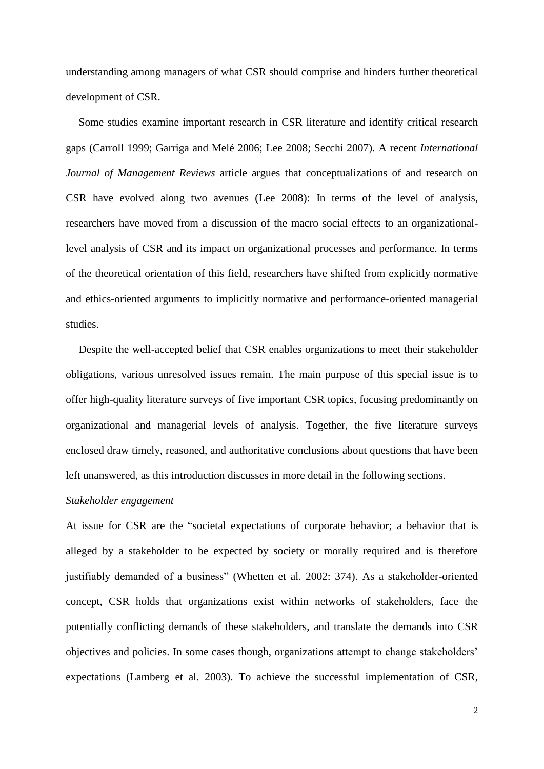understanding among managers of what CSR should comprise and hinders further theoretical development of CSR.

Some studies examine important research in CSR literature and identify critical research gaps (Carroll 1999; Garriga and Melé 2006; Lee 2008; Secchi 2007). A recent *International Journal of Management Reviews* article argues that conceptualizations of and research on CSR have evolved along two avenues (Lee 2008): In terms of the level of analysis, researchers have moved from a discussion of the macro social effects to an organizationallevel analysis of CSR and its impact on organizational processes and performance. In terms of the theoretical orientation of this field, researchers have shifted from explicitly normative and ethics-oriented arguments to implicitly normative and performance-oriented managerial studies.

Despite the well-accepted belief that CSR enables organizations to meet their stakeholder obligations, various unresolved issues remain. The main purpose of this special issue is to offer high-quality literature surveys of five important CSR topics, focusing predominantly on organizational and managerial levels of analysis. Together, the five literature surveys enclosed draw timely, reasoned, and authoritative conclusions about questions that have been left unanswered, as this introduction discusses in more detail in the following sections.

#### *Stakeholder engagement*

At issue for CSR are the "societal expectations of corporate behavior; a behavior that is alleged by a stakeholder to be expected by society or morally required and is therefore justifiably demanded of a business" (Whetten et al. 2002: 374). As a stakeholder-oriented concept, CSR holds that organizations exist within networks of stakeholders, face the potentially conflicting demands of these stakeholders, and translate the demands into CSR objectives and policies. In some cases though, organizations attempt to change stakeholders' expectations (Lamberg et al. 2003). To achieve the successful implementation of CSR,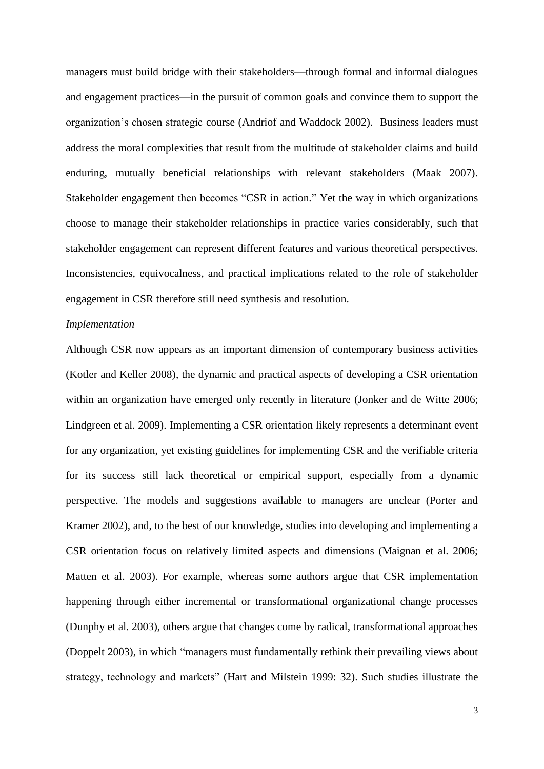managers must build bridge with their stakeholders—through formal and informal dialogues and engagement practices—in the pursuit of common goals and convince them to support the organization's chosen strategic course (Andriof and Waddock 2002). Business leaders must address the moral complexities that result from the multitude of stakeholder claims and build enduring, mutually beneficial relationships with relevant stakeholders (Maak 2007). Stakeholder engagement then becomes "CSR in action." Yet the way in which organizations choose to manage their stakeholder relationships in practice varies considerably, such that stakeholder engagement can represent different features and various theoretical perspectives. Inconsistencies, equivocalness, and practical implications related to the role of stakeholder engagement in CSR therefore still need synthesis and resolution.

## *Implementation*

Although CSR now appears as an important dimension of contemporary business activities (Kotler and Keller 2008), the dynamic and practical aspects of developing a CSR orientation within an organization have emerged only recently in literature (Jonker and de Witte 2006; Lindgreen et al. 2009). Implementing a CSR orientation likely represents a determinant event for any organization, yet existing guidelines for implementing CSR and the verifiable criteria for its success still lack theoretical or empirical support, especially from a dynamic perspective. The models and suggestions available to managers are unclear (Porter and Kramer 2002), and, to the best of our knowledge, studies into developing and implementing a CSR orientation focus on relatively limited aspects and dimensions (Maignan et al. 2006; Matten et al. 2003). For example, whereas some authors argue that CSR implementation happening through either incremental or transformational organizational change processes (Dunphy et al. 2003), others argue that changes come by radical, transformational approaches (Doppelt 2003), in which "managers must fundamentally rethink their prevailing views about strategy, technology and markets" (Hart and Milstein 1999: 32). Such studies illustrate the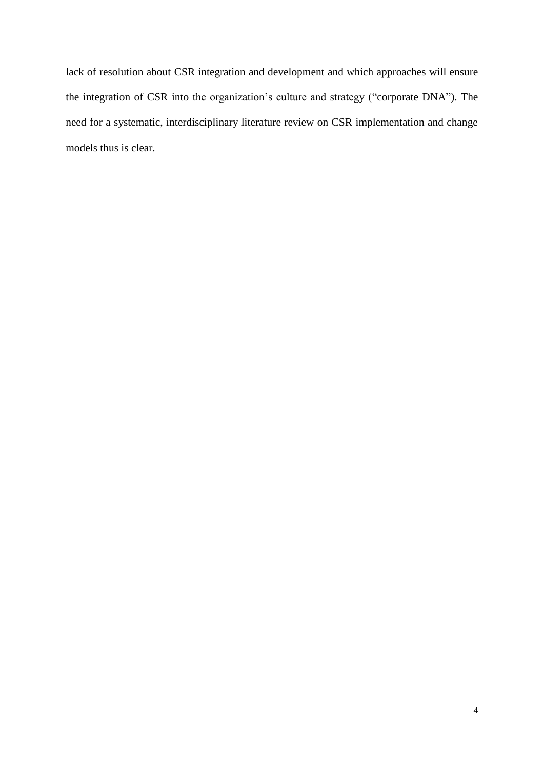lack of resolution about CSR integration and development and which approaches will ensure the integration of CSR into the organization's culture and strategy ("corporate DNA"). The need for a systematic, interdisciplinary literature review on CSR implementation and change models thus is clear.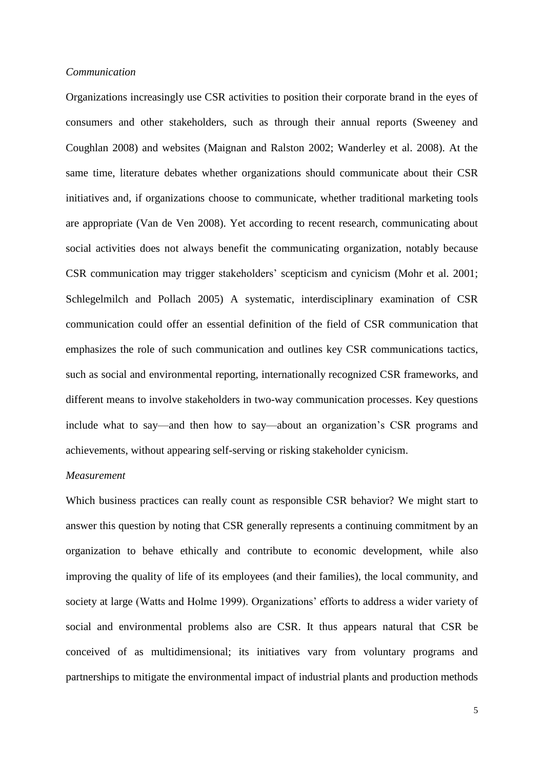#### *Communication*

Organizations increasingly use CSR activities to position their corporate brand in the eyes of consumers and other stakeholders, such as through their annual reports (Sweeney and Coughlan 2008) and websites (Maignan and Ralston 2002; Wanderley et al. 2008). At the same time, literature debates whether organizations should communicate about their CSR initiatives and, if organizations choose to communicate, whether traditional marketing tools are appropriate (Van de Ven 2008). Yet according to recent research, communicating about social activities does not always benefit the communicating organization, notably because CSR communication may trigger stakeholders' scepticism and cynicism (Mohr et al. 2001; Schlegelmilch and Pollach 2005) A systematic, interdisciplinary examination of CSR communication could offer an essential definition of the field of CSR communication that emphasizes the role of such communication and outlines key CSR communications tactics, such as social and environmental reporting, internationally recognized CSR frameworks, and different means to involve stakeholders in two-way communication processes. Key questions include what to say—and then how to say—about an organization's CSR programs and achievements, without appearing self-serving or risking stakeholder cynicism.

# *Measurement*

Which business practices can really count as responsible CSR behavior? We might start to answer this question by noting that CSR generally represents a continuing commitment by an organization to behave ethically and contribute to economic development, while also improving the quality of life of its employees (and their families), the local community, and society at large (Watts and Holme 1999). Organizations' efforts to address a wider variety of social and environmental problems also are CSR. It thus appears natural that CSR be conceived of as multidimensional; its initiatives vary from voluntary programs and partnerships to mitigate the environmental impact of industrial plants and production methods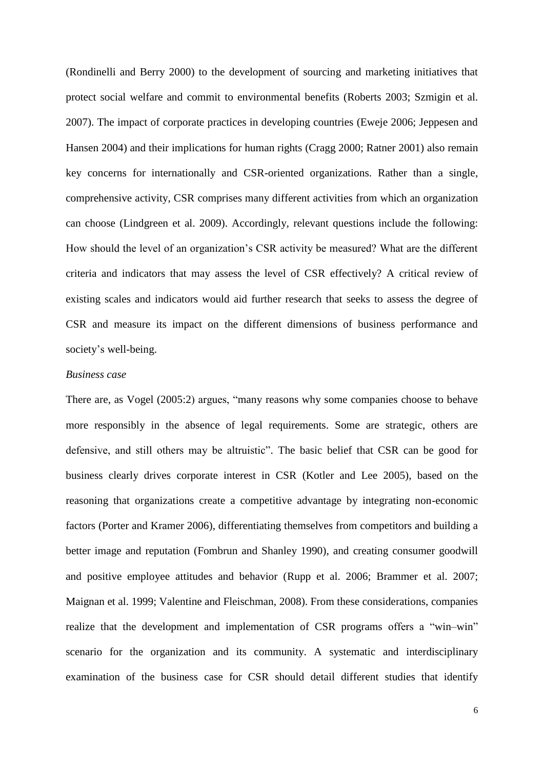(Rondinelli and Berry 2000) to the development of sourcing and marketing initiatives that protect social welfare and commit to environmental benefits (Roberts 2003; Szmigin et al. 2007). The impact of corporate practices in developing countries (Eweje 2006; Jeppesen and Hansen 2004) and their implications for human rights (Cragg 2000; Ratner 2001) also remain key concerns for internationally and CSR-oriented organizations. Rather than a single, comprehensive activity, CSR comprises many different activities from which an organization can choose (Lindgreen et al. 2009). Accordingly, relevant questions include the following: How should the level of an organization's CSR activity be measured? What are the different criteria and indicators that may assess the level of CSR effectively? A critical review of existing scales and indicators would aid further research that seeks to assess the degree of CSR and measure its impact on the different dimensions of business performance and society's well-being.

## *Business case*

There are, as Vogel (2005:2) argues, "many reasons why some companies choose to behave more responsibly in the absence of legal requirements. Some are strategic, others are defensive, and still others may be altruistic". The basic belief that CSR can be good for business clearly drives corporate interest in CSR (Kotler and Lee 2005), based on the reasoning that organizations create a competitive advantage by integrating non-economic factors (Porter and Kramer 2006), differentiating themselves from competitors and building a better image and reputation (Fombrun and Shanley 1990), and creating consumer goodwill and positive employee attitudes and behavior (Rupp et al. 2006; Brammer et al. 2007; Maignan et al. 1999; Valentine and Fleischman, 2008). From these considerations, companies realize that the development and implementation of CSR programs offers a "win–win" scenario for the organization and its community. A systematic and interdisciplinary examination of the business case for CSR should detail different studies that identify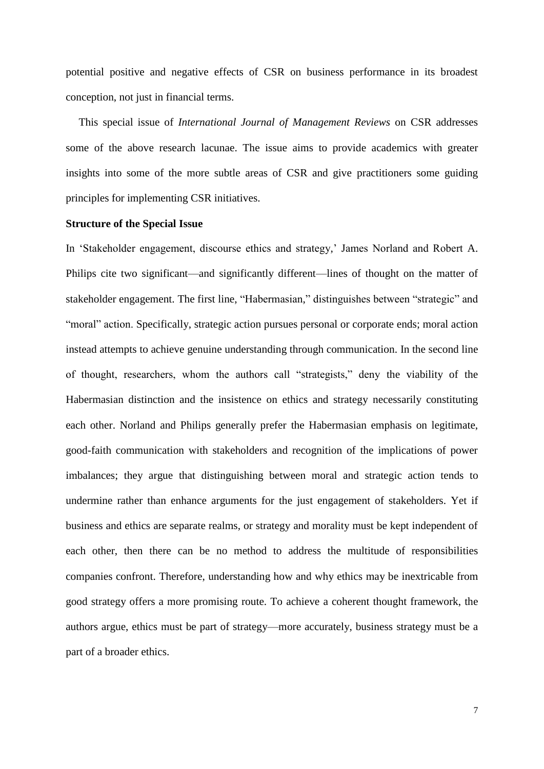potential positive and negative effects of CSR on business performance in its broadest conception, not just in financial terms.

This special issue of *International Journal of Management Reviews* on CSR addresses some of the above research lacunae. The issue aims to provide academics with greater insights into some of the more subtle areas of CSR and give practitioners some guiding principles for implementing CSR initiatives.

#### **Structure of the Special Issue**

In 'Stakeholder engagement, discourse ethics and strategy,' James Norland and Robert A. Philips cite two significant—and significantly different—lines of thought on the matter of stakeholder engagement. The first line, "Habermasian," distinguishes between "strategic" and "moral" action. Specifically, strategic action pursues personal or corporate ends; moral action instead attempts to achieve genuine understanding through communication. In the second line of thought, researchers, whom the authors call "strategists," deny the viability of the Habermasian distinction and the insistence on ethics and strategy necessarily constituting each other. Norland and Philips generally prefer the Habermasian emphasis on legitimate, good-faith communication with stakeholders and recognition of the implications of power imbalances; they argue that distinguishing between moral and strategic action tends to undermine rather than enhance arguments for the just engagement of stakeholders. Yet if business and ethics are separate realms, or strategy and morality must be kept independent of each other, then there can be no method to address the multitude of responsibilities companies confront. Therefore, understanding how and why ethics may be inextricable from good strategy offers a more promising route. To achieve a coherent thought framework, the authors argue, ethics must be part of strategy—more accurately, business strategy must be a part of a broader ethics.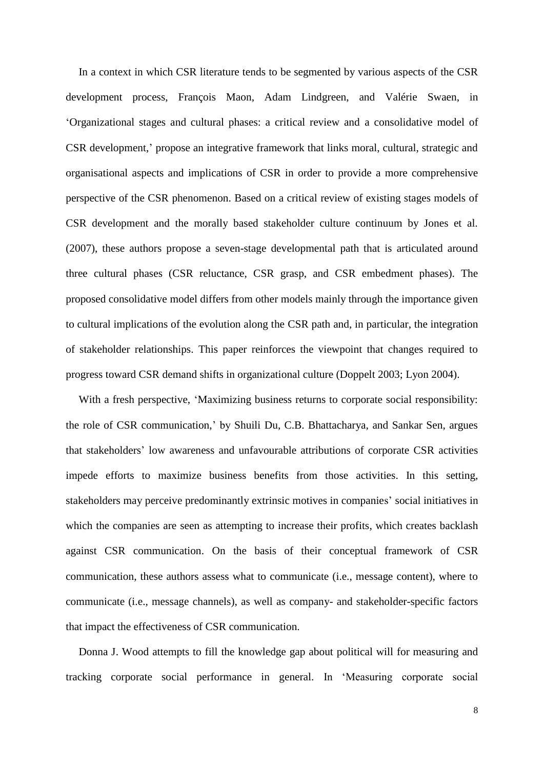In a context in which CSR literature tends to be segmented by various aspects of the CSR development process, François Maon, Adam Lindgreen, and Valérie Swaen, in 'Organizational stages and cultural phases: a critical review and a consolidative model of CSR development,' propose an integrative framework that links moral, cultural, strategic and organisational aspects and implications of CSR in order to provide a more comprehensive perspective of the CSR phenomenon. Based on a critical review of existing stages models of CSR development and the morally based stakeholder culture continuum by Jones et al. (2007), these authors propose a seven-stage developmental path that is articulated around three cultural phases (CSR reluctance, CSR grasp, and CSR embedment phases). The proposed consolidative model differs from other models mainly through the importance given to cultural implications of the evolution along the CSR path and, in particular, the integration of stakeholder relationships. This paper reinforces the viewpoint that changes required to progress toward CSR demand shifts in organizational culture (Doppelt 2003; Lyon 2004).

With a fresh perspective, 'Maximizing business returns to corporate social responsibility: the role of CSR communication,' by Shuili Du, C.B. Bhattacharya, and Sankar Sen, argues that stakeholders' low awareness and unfavourable attributions of corporate CSR activities impede efforts to maximize business benefits from those activities. In this setting, stakeholders may perceive predominantly extrinsic motives in companies' social initiatives in which the companies are seen as attempting to increase their profits, which creates backlash against CSR communication. On the basis of their conceptual framework of CSR communication, these authors assess what to communicate (i.e., message content), where to communicate (i.e., message channels), as well as company- and stakeholder-specific factors that impact the effectiveness of CSR communication.

Donna J. Wood attempts to fill the knowledge gap about political will for measuring and tracking corporate social performance in general. In 'Measuring corporate social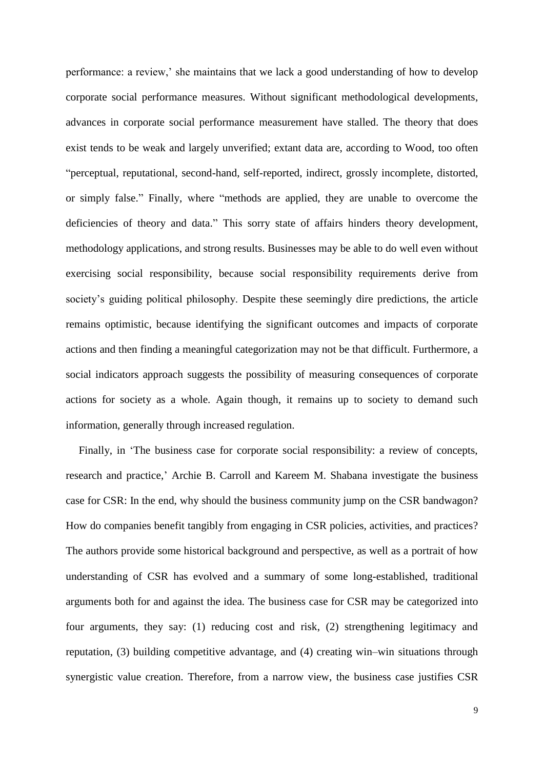performance: a review,' she maintains that we lack a good understanding of how to develop corporate social performance measures. Without significant methodological developments, advances in corporate social performance measurement have stalled. The theory that does exist tends to be weak and largely unverified; extant data are, according to Wood, too often "perceptual, reputational, second-hand, self-reported, indirect, grossly incomplete, distorted, or simply false." Finally, where "methods are applied, they are unable to overcome the deficiencies of theory and data." This sorry state of affairs hinders theory development, methodology applications, and strong results. Businesses may be able to do well even without exercising social responsibility, because social responsibility requirements derive from society's guiding political philosophy. Despite these seemingly dire predictions, the article remains optimistic, because identifying the significant outcomes and impacts of corporate actions and then finding a meaningful categorization may not be that difficult. Furthermore, a social indicators approach suggests the possibility of measuring consequences of corporate actions for society as a whole. Again though, it remains up to society to demand such information, generally through increased regulation.

Finally, in 'The business case for corporate social responsibility: a review of concepts, research and practice,' Archie B. Carroll and Kareem M. Shabana investigate the business case for CSR: In the end, why should the business community jump on the CSR bandwagon? How do companies benefit tangibly from engaging in CSR policies, activities, and practices? The authors provide some historical background and perspective, as well as a portrait of how understanding of CSR has evolved and a summary of some long-established, traditional arguments both for and against the idea. The business case for CSR may be categorized into four arguments, they say: (1) reducing cost and risk, (2) strengthening legitimacy and reputation, (3) building competitive advantage, and (4) creating win–win situations through synergistic value creation. Therefore, from a narrow view, the business case justifies CSR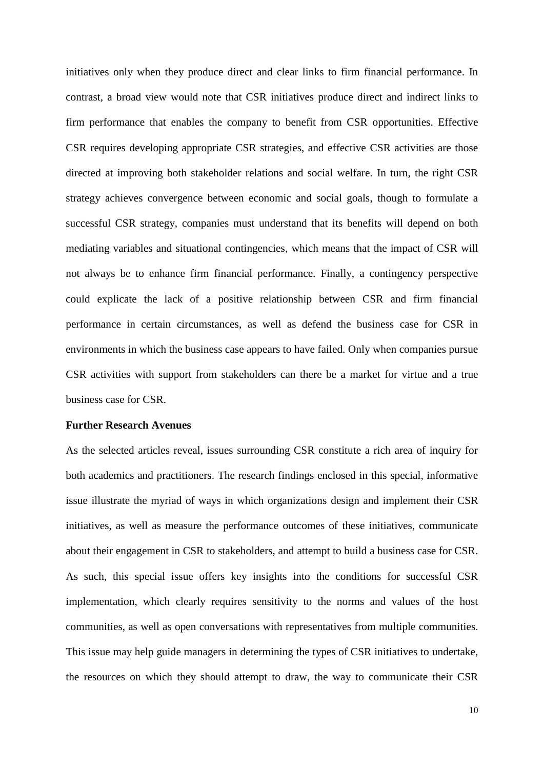initiatives only when they produce direct and clear links to firm financial performance. In contrast, a broad view would note that CSR initiatives produce direct and indirect links to firm performance that enables the company to benefit from CSR opportunities. Effective CSR requires developing appropriate CSR strategies, and effective CSR activities are those directed at improving both stakeholder relations and social welfare. In turn, the right CSR strategy achieves convergence between economic and social goals, though to formulate a successful CSR strategy, companies must understand that its benefits will depend on both mediating variables and situational contingencies, which means that the impact of CSR will not always be to enhance firm financial performance. Finally, a contingency perspective could explicate the lack of a positive relationship between CSR and firm financial performance in certain circumstances, as well as defend the business case for CSR in environments in which the business case appears to have failed. Only when companies pursue CSR activities with support from stakeholders can there be a market for virtue and a true business case for CSR.

#### **Further Research Avenues**

As the selected articles reveal, issues surrounding CSR constitute a rich area of inquiry for both academics and practitioners. The research findings enclosed in this special, informative issue illustrate the myriad of ways in which organizations design and implement their CSR initiatives, as well as measure the performance outcomes of these initiatives, communicate about their engagement in CSR to stakeholders, and attempt to build a business case for CSR. As such, this special issue offers key insights into the conditions for successful CSR implementation, which clearly requires sensitivity to the norms and values of the host communities, as well as open conversations with representatives from multiple communities. This issue may help guide managers in determining the types of CSR initiatives to undertake, the resources on which they should attempt to draw, the way to communicate their CSR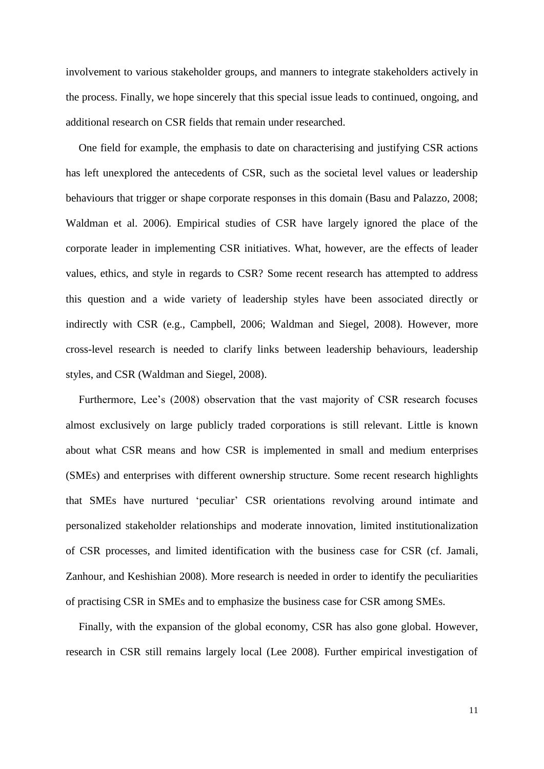involvement to various stakeholder groups, and manners to integrate stakeholders actively in the process. Finally, we hope sincerely that this special issue leads to continued, ongoing, and additional research on CSR fields that remain under researched.

One field for example, the emphasis to date on characterising and justifying CSR actions has left unexplored the antecedents of CSR, such as the societal level values or leadership behaviours that trigger or shape corporate responses in this domain (Basu and Palazzo, 2008; Waldman et al. 2006). Empirical studies of CSR have largely ignored the place of the corporate leader in implementing CSR initiatives. What, however, are the effects of leader values, ethics, and style in regards to CSR? Some recent research has attempted to address this question and a wide variety of leadership styles have been associated directly or indirectly with CSR (e.g., Campbell, 2006; Waldman and Siegel, 2008). However, more cross-level research is needed to clarify links between leadership behaviours, leadership styles, and CSR (Waldman and Siegel, 2008).

Furthermore, Lee's (2008) observation that the vast majority of CSR research focuses almost exclusively on large publicly traded corporations is still relevant. Little is known about what CSR means and how CSR is implemented in small and medium enterprises (SMEs) and enterprises with different ownership structure. Some recent research highlights that SMEs have nurtured 'peculiar' CSR orientations revolving around intimate and personalized stakeholder relationships and moderate innovation, limited institutionalization of CSR processes, and limited identification with the business case for CSR (cf. Jamali, Zanhour, and Keshishian 2008). More research is needed in order to identify the peculiarities of practising CSR in SMEs and to emphasize the business case for CSR among SMEs.

Finally, with the expansion of the global economy, CSR has also gone global. However, research in CSR still remains largely local (Lee 2008). Further empirical investigation of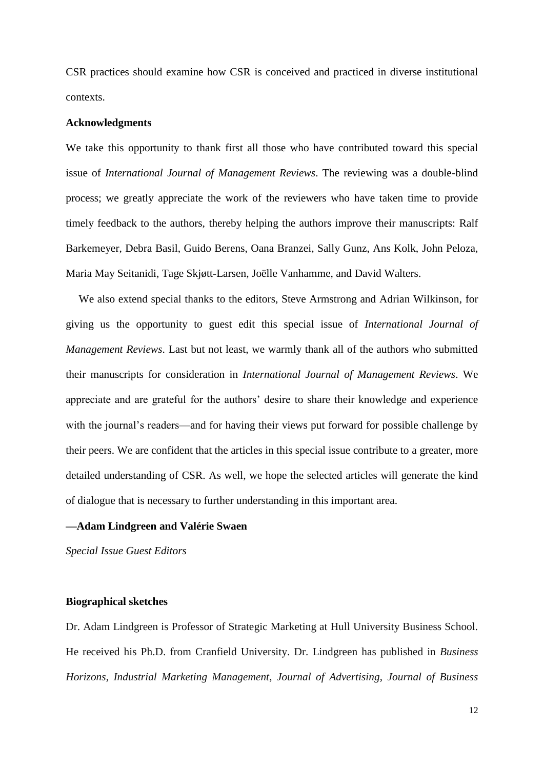CSR practices should examine how CSR is conceived and practiced in diverse institutional contexts.

#### **Acknowledgments**

We take this opportunity to thank first all those who have contributed toward this special issue of *International Journal of Management Reviews*. The reviewing was a double-blind process; we greatly appreciate the work of the reviewers who have taken time to provide timely feedback to the authors, thereby helping the authors improve their manuscripts: Ralf Barkemeyer, Debra Basil, Guido Berens, Oana Branzei, Sally Gunz, Ans Kolk, John Peloza, Maria May Seitanidi, Tage Skjøtt-Larsen, Joëlle Vanhamme, and David Walters.

We also extend special thanks to the editors, Steve Armstrong and Adrian Wilkinson, for giving us the opportunity to guest edit this special issue of *International Journal of Management Reviews*. Last but not least, we warmly thank all of the authors who submitted their manuscripts for consideration in *International Journal of Management Reviews*. We appreciate and are grateful for the authors' desire to share their knowledge and experience with the journal's readers—and for having their views put forward for possible challenge by their peers. We are confident that the articles in this special issue contribute to a greater, more detailed understanding of CSR. As well, we hope the selected articles will generate the kind of dialogue that is necessary to further understanding in this important area.

## **—Adam Lindgreen and Valérie Swaen**

*Special Issue Guest Editors* 

## **Biographical sketches**

Dr. Adam Lindgreen is Professor of Strategic Marketing at Hull University Business School. He received his Ph.D. from Cranfield University. Dr. Lindgreen has published in *Business Horizons*, *Industrial Marketing Management*, *Journal of Advertising*, *Journal of Business*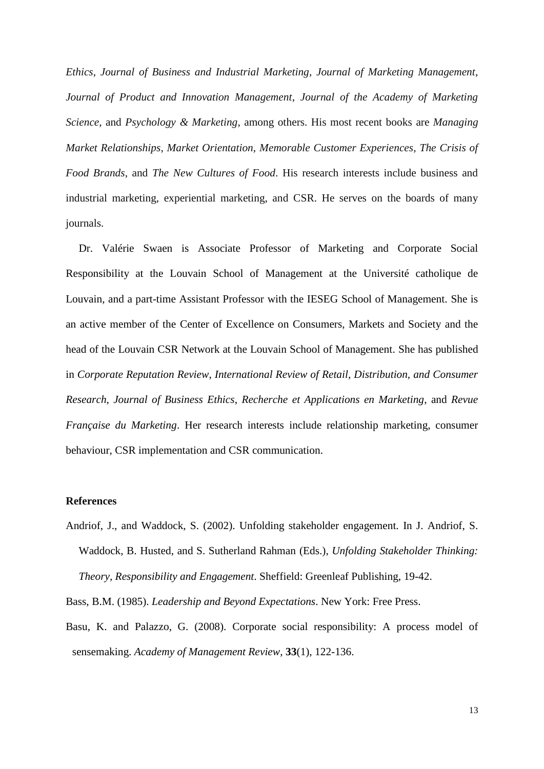*Ethics*, *Journal of Business and Industrial Marketing*, *Journal of Marketing Management*, *Journal of Product and Innovation Management*, *Journal of the Academy of Marketing Science*, and *Psychology & Marketing*, among others. His most recent books are *Managing Market Relationships*, *Market Orientation*, *Memorable Customer Experiences*, *The Crisis of Food Brands*, and *The New Cultures of Food*. His research interests include business and industrial marketing, experiential marketing, and CSR. He serves on the boards of many journals.

Dr. Valérie Swaen is Associate Professor of Marketing and Corporate Social Responsibility at the Louvain School of Management at the Université catholique de Louvain, and a part-time Assistant Professor with the IESEG School of Management. She is an active member of the Center of Excellence on Consumers, Markets and Society and the head of the Louvain CSR Network at the Louvain School of Management. She has published in *Corporate Reputation Review*, *International Review of Retail, Distribution, and Consumer Research*, *Journal of Business Ethics*, *Recherche et Applications en Marketing*, and *Revue Française du Marketing*. Her research interests include relationship marketing, consumer behaviour, CSR implementation and CSR communication.

## **References**

Andriof, J., and Waddock, S. (2002). Unfolding stakeholder engagement. In J. Andriof, S. Waddock, B. Husted, and S. Sutherland Rahman (Eds.), *Unfolding Stakeholder Thinking: Theory, Responsibility and Engagement*. Sheffield: Greenleaf Publishing, 19-42.

Bass, B.M. (1985). *Leadership and Beyond Expectations*. New York: Free Press.

Basu, K. and Palazzo, G. (2008). Corporate social responsibility: A process model of sensemaking. *Academy of Management Review*, **33**(1), 122-136.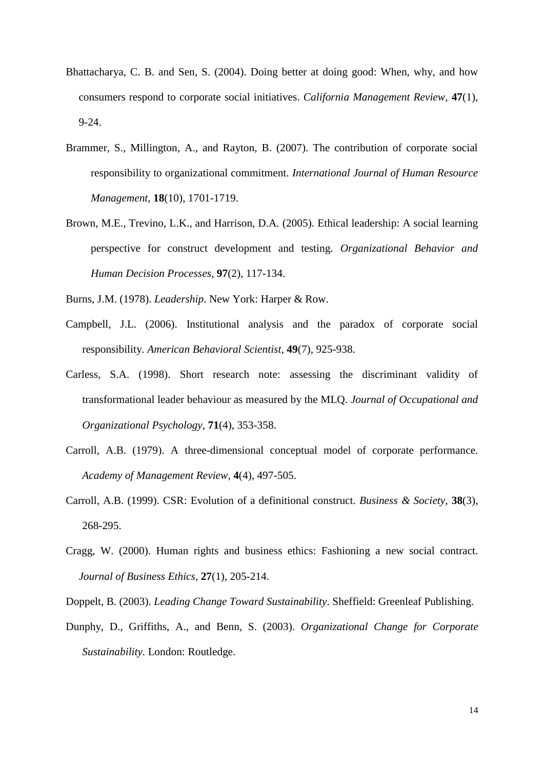- Bhattacharya, C. B. and Sen, S. (2004). Doing better at doing good: When, why, and how consumers respond to corporate social initiatives. *California Management Review*, **47**(1), 9-24.
- Brammer, S., Millington, A., and Rayton, B. (2007). The contribution of corporate social responsibility to organizational commitment. *International Journal of Human Resource Management*, **18**(10), 1701-1719.
- Brown, M.E., Trevino, L.K., and Harrison, D.A. (2005). Ethical leadership: A social learning perspective for construct development and testing. *Organizational Behavior and Human Decision Processes*, **97**(2), 117-134.
- Burns, J.M. (1978). *Leadership*. New York: Harper & Row.
- Campbell, J.L. (2006). Institutional analysis and the paradox of corporate social responsibility. *American Behavioral Scientist*, **49**(7), 925-938.
- Carless, S.A. (1998). Short research note: assessing the discriminant validity of transformational leader behaviour as measured by the MLQ. *Journal of Occupational and Organizational Psychology*, **71**(4), 353-358.
- Carroll, A.B. (1979). A three-dimensional conceptual model of corporate performance. *Academy of Management Review,* **4**(4), 497-505.
- Carroll, A.B. (1999). CSR: Evolution of a definitional construct. *Business & Society,* **38**(3), 268-295.
- Cragg, W. (2000). Human rights and business ethics: Fashioning a new social contract. *Journal of Business Ethics,* **27**(1), 205-214.
- Doppelt, B. (2003). *Leading Change Toward Sustainability*. Sheffield: Greenleaf Publishing.
- Dunphy, D., Griffiths, A., and Benn, S. (2003). *Organizational Change for Corporate Sustainability.* London: Routledge.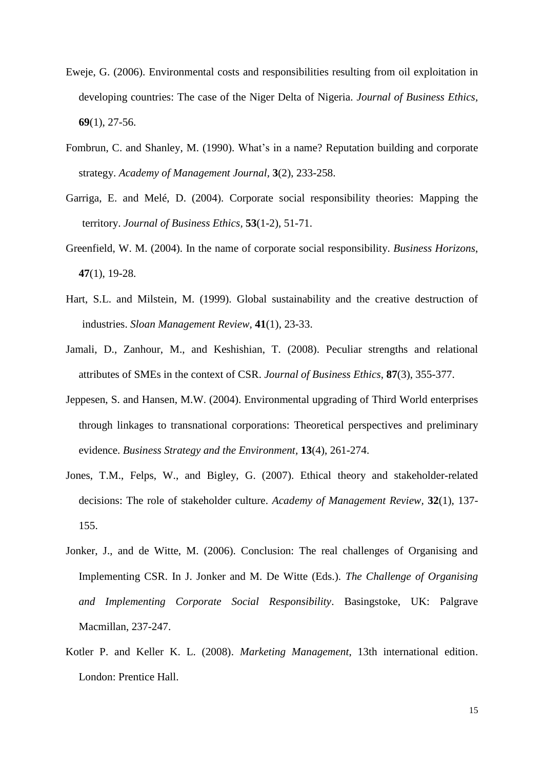- Eweje, G. (2006). Environmental costs and responsibilities resulting from oil exploitation in developing countries: The case of the Niger Delta of Nigeria. *Journal of Business Ethics,* **69**(1), 27-56.
- Fombrun, C. and Shanley, M. (1990). What's in a name? Reputation building and corporate strategy. *Academy of Management Journal,* **3**(2), 233-258.
- Garriga, E. and Melé, D. (2004). Corporate social responsibility theories: Mapping the territory. *Journal of Business Ethics,* **53**(1-2), 51-71.
- Greenfield, W. M. (2004). In the name of corporate social responsibility. *Business Horizons*, **47**(1), 19-28.
- Hart, S.L. and Milstein, M. (1999). Global sustainability and the creative destruction of industries. *Sloan Management Review,* **41**(1), 23-33.
- Jamali, D., Zanhour, M., and Keshishian, T. (2008). Peculiar strengths and relational attributes of SMEs in the context of CSR. *Journal of Business Ethics*, **87**(3), 355-377.
- Jeppesen, S. and Hansen, M.W. (2004). Environmental upgrading of Third World enterprises through linkages to transnational corporations: Theoretical perspectives and preliminary evidence. *Business Strategy and the Environment,* **13**(4), 261-274.
- Jones, T.M., Felps, W., and Bigley, G. (2007). Ethical theory and stakeholder-related decisions: The role of stakeholder culture. *Academy of Management Review,* **32**(1), 137- 155.
- Jonker, J., and de Witte, M. (2006). Conclusion: The real challenges of Organising and Implementing CSR. In J. Jonker and M. De Witte (Eds.). *The Challenge of Organising and Implementing Corporate Social Responsibility*. Basingstoke, UK: Palgrave Macmillan, 237-247.
- Kotler P. and Keller K. L. (2008). *Marketing Management*, 13th international edition. London: Prentice Hall.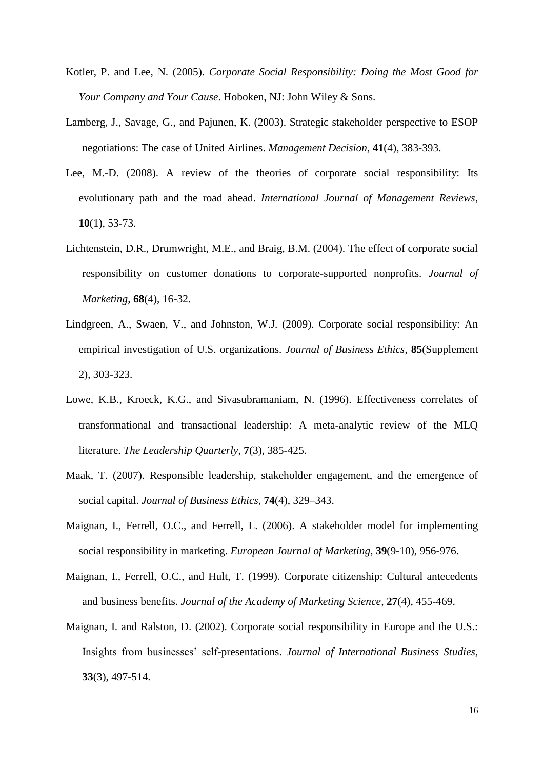- Kotler, P. and Lee, N. (2005). *Corporate Social Responsibility: Doing the Most Good for Your Company and Your Cause*. Hoboken, NJ: John Wiley & Sons.
- Lamberg, J., Savage, G., and Pajunen, K. (2003). Strategic stakeholder perspective to ESOP negotiations: The case of United Airlines. *Management Decision*, **41**(4), 383-393.
- Lee, M.-D. (2008). A review of the theories of corporate social responsibility: Its evolutionary path and the road ahead. *International Journal of Management Reviews*, **10**(1), 53-73.
- Lichtenstein, D.R., Drumwright, M.E., and Braig, B.M. (2004). The effect of corporate social responsibility on customer donations to corporate-supported nonprofits. *Journal of Marketing*, **68**(4), 16-32.
- Lindgreen, A., Swaen, V., and Johnston, W.J. (2009). Corporate social responsibility: An empirical investigation of U.S. organizations. *Journal of Business Ethics*, **85**(Supplement 2), 303-323.
- Lowe, K.B., Kroeck, K.G., and Sivasubramaniam, N. (1996). Effectiveness correlates of transformational and transactional leadership: A meta-analytic review of the MLQ literature. *The Leadership Quarterly*, **7**(3), 385-425.
- Maak, T. (2007). Responsible leadership, stakeholder engagement, and the emergence of social capital. *Journal of Business Ethics*, **74**(4), 329–343.
- Maignan, I.*,* Ferrell, O.C., and Ferrell, L. (2006). A stakeholder model for implementing social responsibility in marketing. *European Journal of Marketing,* **39**(9-10), 956-976.
- Maignan, I., Ferrell, O.C., and Hult, T. (1999). Corporate citizenship: Cultural antecedents and business benefits. *Journal of the Academy of Marketing Science,* **27**(4), 455-469.
- Maignan, I. and Ralston, D. (2002). Corporate social responsibility in Europe and the U.S.: Insights from businesses' self-presentations. *Journal of International Business Studies,* **33**(3), 497-514.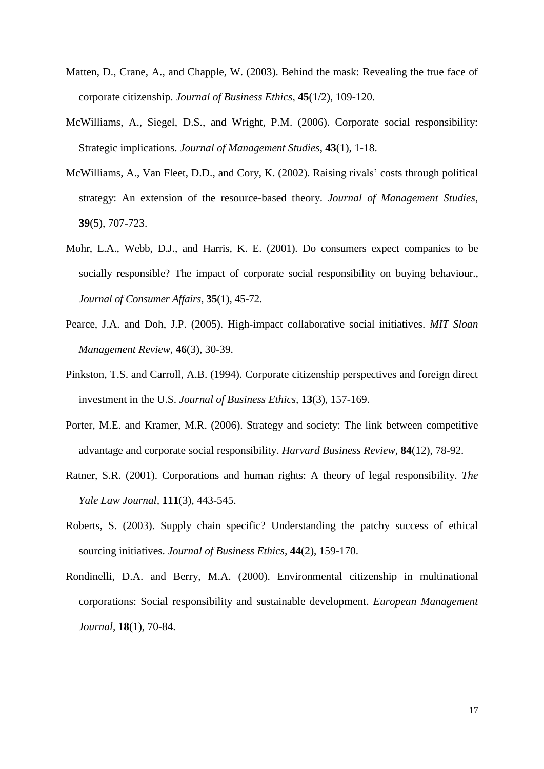- Matten, D., Crane, A., and Chapple, W. (2003). Behind the mask: Revealing the true face of corporate citizenship. *Journal of Business Ethics*, **45**(1/2), 109-120.
- McWilliams, A., Siegel, D.S., and Wright, P.M. (2006). Corporate social responsibility: Strategic implications. *Journal of Management Studies*, **43**(1), 1-18.
- McWilliams, A., Van Fleet, D.D., and Cory, K. (2002). Raising rivals' costs through political strategy: An extension of the resource-based theory. *Journal of Management Studies*, **39**(5), 707-723.
- Mohr, L.A., Webb, D.J., and Harris, K. E. (2001). Do consumers expect companies to be socially responsible? The impact of corporate social responsibility on buying behaviour., *Journal of Consumer Affairs*, **35**(1), 45-72.
- Pearce, J.A. and Doh, J.P. (2005). High-impact collaborative social initiatives. *MIT Sloan Management Review*, **46**(3), 30-39.
- Pinkston, T.S. and Carroll, A.B. (1994). Corporate citizenship perspectives and foreign direct investment in the U.S. *Journal of Business Ethics,* **13**(3), 157-169.
- Porter, M.E. and Kramer, M.R. (2006). Strategy and society: The link between competitive advantage and corporate social responsibility. *Harvard Business Review,* **84**(12), 78-92.
- Ratner, S.R. (2001). Corporations and human rights: A theory of legal responsibility. *The Yale Law Journal,* **111**(3), 443-545.
- Roberts, S. (2003). Supply chain specific? Understanding the patchy success of ethical sourcing initiatives. *Journal of Business Ethics,* **44**(2), 159-170.
- Rondinelli, D.A. and Berry, M.A. (2000). Environmental citizenship in multinational corporations: Social responsibility and sustainable development. *European Management Journal,* **18**(1), 70-84.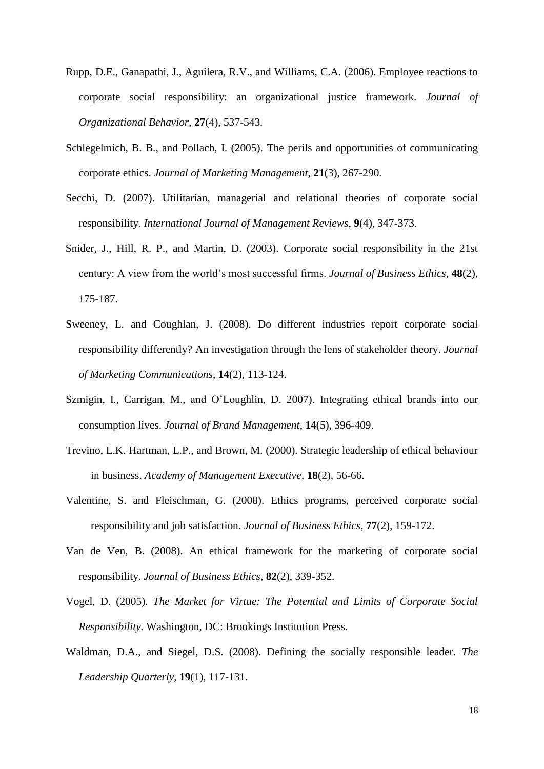- Rupp, D.E., Ganapathi, J., Aguilera, R.V., and Williams, C.A. (2006). Employee reactions to corporate social responsibility: an organizational justice framework. *Journal of Organizational Behavior*, **27**(4), 537-543.
- Schlegelmich, B. B., and Pollach, I. (2005). The perils and opportunities of communicating corporate ethics. *Journal of Marketing Management*, **21**(3), 267-290.
- Secchi, D. (2007). Utilitarian, managerial and relational theories of corporate social responsibility. *International Journal of Management Reviews,* **9**(4), 347-373.
- Snider, J., Hill, R. P., and Martin, D. (2003). Corporate social responsibility in the 21st century: A view from the world's most successful firms. *Journal of Business Ethics*, **48**(2), 175-187.
- Sweeney, L. and Coughlan, J. (2008). Do different industries report corporate social responsibility differently? An investigation through the lens of stakeholder theory. *Journal of Marketing Communications*, **14**(2), 113-124.
- Szmigin, I., Carrigan, M., and O'Loughlin, D. 2007). Integrating ethical brands into our consumption lives. *Journal of Brand Management,* **14**(5), 396-409.
- Trevino, L.K. Hartman, L.P., and Brown, M. (2000). Strategic leadership of ethical behaviour in business. *Academy of Management Executive*, **18**(2), 56-66.
- Valentine, S. and Fleischman, G. (2008). Ethics programs, perceived corporate social responsibility and job satisfaction. *Journal of Business Ethics*, **77**(2), 159-172.
- Van de Ven, B. (2008). An ethical framework for the marketing of corporate social responsibility. *Journal of Business Ethics*, **82**(2), 339-352.
- Vogel, D. (2005). *The Market for Virtue: The Potential and Limits of Corporate Social Responsibility.* Washington, DC: Brookings Institution Press.
- Waldman, D.A., and Siegel, D.S. (2008). Defining the socially responsible leader. *The Leadership Quarterly,* **19**(1), 117-131.